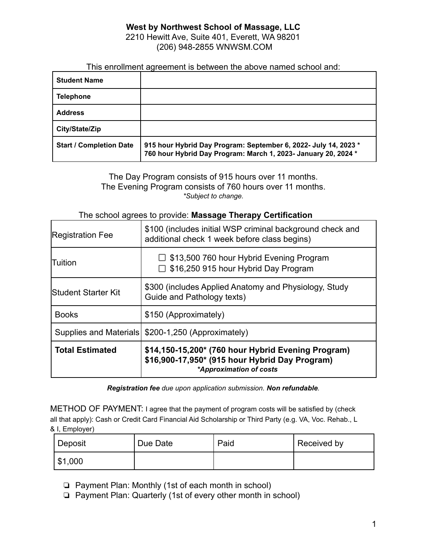### **West by Northwest School of Massage, LLC** 2210 Hewitt Ave, Suite 401, Everett, WA 98201 (206) 948-2855 WNWSM.COM

This enrollment agreement is between the above named school and:

| <b>Student Name</b>            |                                                                                                                                   |
|--------------------------------|-----------------------------------------------------------------------------------------------------------------------------------|
| <b>Telephone</b>               |                                                                                                                                   |
| <b>Address</b>                 |                                                                                                                                   |
| City/State/Zip                 |                                                                                                                                   |
| <b>Start / Completion Date</b> | 915 hour Hybrid Day Program: September 6, 2022- July 14, 2023 *<br>760 hour Hybrid Day Program: March 1, 2023- January 20, 2024 * |

The Day Program consists of 915 hours over 11 months. The Evening Program consists of 760 hours over 11 months. *\*Subject to change.*

### The school agrees to provide: **Massage Therapy Certification**

| <b>Registration Fee</b> | \$100 (includes initial WSP criminal background check and<br>additional check 1 week before class begins)                       |  |
|-------------------------|---------------------------------------------------------------------------------------------------------------------------------|--|
| Tuition                 | □ \$13,500 760 hour Hybrid Evening Program<br>$\Box$ \$16,250 915 hour Hybrid Day Program                                       |  |
| lStudent Starter Kit    | \$300 (includes Applied Anatomy and Physiology, Study<br>Guide and Pathology texts)                                             |  |
| <b>Books</b>            | \$150 (Approximately)                                                                                                           |  |
|                         | Supplies and Materials   \$200-1,250 (Approximately)                                                                            |  |
| <b>Total Estimated</b>  | \$14,150-15,200* (760 hour Hybrid Evening Program)<br>\$16,900-17,950* (915 hour Hybrid Day Program)<br>*Approximation of costs |  |

*Registration fee due upon application submission. Non refundable.*

METHOD OF PAYMENT: I agree that the payment of program costs will be satisfied by (check all that apply): Cash or Credit Card Financial Aid Scholarship or Third Party (e.g. VA, Voc. Rehab., L & I, Employer)

| Deposit     | Due Date | Paid | Received by |
|-------------|----------|------|-------------|
| $1$ \$1,000 |          |      |             |

❏ Payment Plan: Monthly (1st of each month in school)

❏ Payment Plan: Quarterly (1st of every other month in school)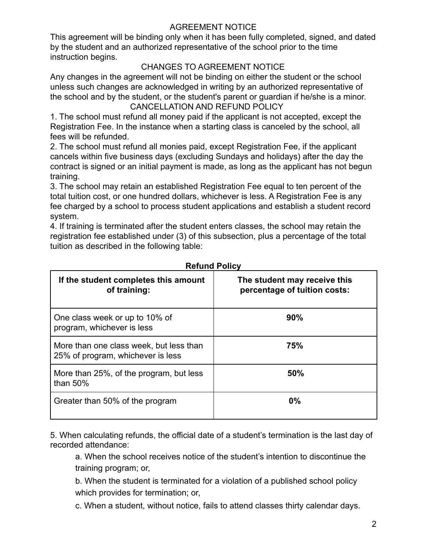## AGREEMENT NOTICE

This agreement will be binding only when it has been fully completed, signed, and dated by the student and an authorized representative of the school prior to the time instruction begins.

# CHANGES TO AGREEMENT NOTICE

Any changes in the agreement will not be binding on either the student or the school unless such changes are acknowledged in writing by an authorized representative of the school and by the student, or the student's parent or guardian if he/she is a minor. CANCELLATION AND REFUND POLICY

1. The school must refund all money paid if the applicant is not accepted, except the Registration Fee. In the instance when a starting class is canceled by the school, all fees will be refunded.

2. The school must refund all monies paid, except Registration Fee, if the applicant cancels within five business days (excluding Sundays and holidays) after the day the contract is signed or an initial payment is made, as long as the applicant has not begun training.

3. The school may retain an established Registration Fee equal to ten percent of the total tuition cost, or one hundred dollars, whichever is less. A Registration Fee is any fee charged by a school to process student applications and establish a student record system.

4. If training is terminated after the student enters classes, the school may retain the registration fee established under (3) of this subsection, plus a percentage of the total tuition as described in the following table:

| If the student completes this amount<br>of training:                         | The student may receive this<br>percentage of tuition costs: |
|------------------------------------------------------------------------------|--------------------------------------------------------------|
| One class week or up to 10% of<br>program, whichever is less                 | 90%                                                          |
| More than one class week, but less than<br>25% of program, whichever is less | 75%                                                          |
| More than 25%, of the program, but less<br>than $50\%$                       | 50%                                                          |
| Greater than 50% of the program                                              | $0\%$                                                        |

### **Refund Policy**

5. When calculating refunds, the official date of a student's termination is the last day of recorded attendance:

a. When the school receives notice of the student's intention to discontinue the training program; or,

b. When the student is terminated for a violation of a published school policy which provides for termination; or,

c. When a student, without notice, fails to attend classes thirty calendar days.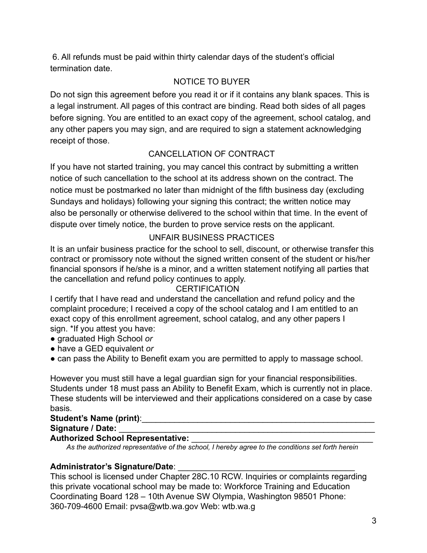6. All refunds must be paid within thirty calendar days of the student's official termination date.

# NOTICE TO BUYER

Do not sign this agreement before you read it or if it contains any blank spaces. This is a legal instrument. All pages of this contract are binding. Read both sides of all pages before signing. You are entitled to an exact copy of the agreement, school catalog, and any other papers you may sign, and are required to sign a statement acknowledging receipt of those.

# CANCELLATION OF CONTRACT

If you have not started training, you may cancel this contract by submitting a written notice of such cancellation to the school at its address shown on the contract. The notice must be postmarked no later than midnight of the fifth business day (excluding Sundays and holidays) following your signing this contract; the written notice may also be personally or otherwise delivered to the school within that time. In the event of dispute over timely notice, the burden to prove service rests on the applicant.

# UNFAIR BUSINESS PRACTICES

It is an unfair business practice for the school to sell, discount, or otherwise transfer this contract or promissory note without the signed written consent of the student or his/her financial sponsors if he/she is a minor, and a written statement notifying all parties that the cancellation and refund policy continues to apply.

# **CERTIFICATION**

I certify that I have read and understand the cancellation and refund policy and the complaint procedure; I received a copy of the school catalog and I am entitled to an exact copy of this enrollment agreement, school catalog, and any other papers I sign. \*If you attest you have:

- graduated High School *or*
- have a GED equivalent *or*
- can pass the Ability to Benefit exam you are permitted to apply to massage school.

However you must still have a legal guardian sign for your financial responsibilities. Students under 18 must pass an Ability to Benefit Exam, which is currently not in place. These students will be interviewed and their applications considered on a case by case basis.

# Student's Name (print):

Signature / Date:

### **Authorized School Representative:**

*As the authorized representative of the school, I hereby agree to the conditions set forth herein*

# **Administrator's Signature/Date**: \_\_\_\_\_\_\_\_\_\_\_\_\_\_\_\_\_\_\_\_\_\_\_\_\_\_\_\_\_\_\_\_\_\_\_\_\_\_

This school is licensed under Chapter 28C.10 RCW. Inquiries or complaints regarding this private vocational school may be made to: Workforce Training and Education Coordinating Board 128 – 10th Avenue SW Olympia, Washington 98501 Phone: 360-709-4600 Email: pvsa@wtb.wa.gov Web: wtb.wa.g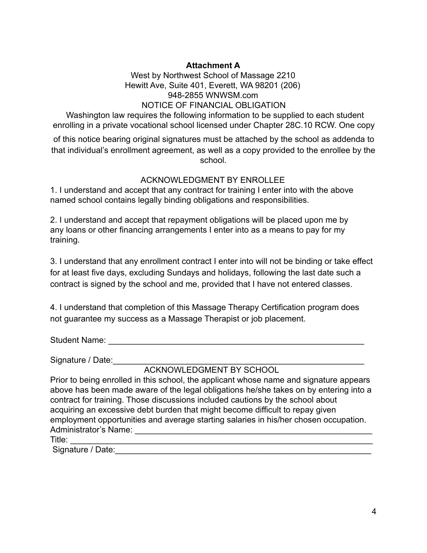### **Attachment A**

West by Northwest School of Massage 2210 Hewitt Ave, Suite 401, Everett, WA 98201 (206) 948-2855 WNWSM.com NOTICE OF FINANCIAL OBLIGATION

Washington law requires the following information to be supplied to each student enrolling in a private vocational school licensed under Chapter 28C.10 RCW. One copy

of this notice bearing original signatures must be attached by the school as addenda to that individual's enrollment agreement, as well as a copy provided to the enrollee by the school.

### ACKNOWLEDGMENT BY ENROLLEE

1. I understand and accept that any contract for training I enter into with the above named school contains legally binding obligations and responsibilities.

2. I understand and accept that repayment obligations will be placed upon me by any loans or other financing arrangements I enter into as a means to pay for my training.

3. I understand that any enrollment contract I enter into will not be binding or take effect for at least five days, excluding Sundays and holidays, following the last date such a contract is signed by the school and me, provided that I have not entered classes.

4. I understand that completion of this Massage Therapy Certification program does not guarantee my success as a Massage Therapist or job placement.

Student Name: 2008. 2008. 2009. 2009. 2010. 2010. 2010. 2010. 2010. 2010. 2010. 2010. 2010. 2010. 2010. 2010. 20

Signature / Date:

ACKNOWLEDGMENT BY SCHOOL

Prior to being enrolled in this school, the applicant whose name and signature appears above has been made aware of the legal obligations he/she takes on by entering into a contract for training. Those discussions included cautions by the school about acquiring an excessive debt burden that might become difficult to repay given employment opportunities and average starting salaries in his/her chosen occupation. Administrator's Name: Title: \_\_\_\_\_\_\_\_\_\_\_\_\_\_\_\_\_\_\_\_\_\_\_\_\_\_\_\_\_\_\_\_\_\_\_\_\_\_\_\_\_\_\_\_\_\_\_\_\_\_\_\_\_\_\_\_\_\_\_\_\_\_\_\_\_

Signature / Date: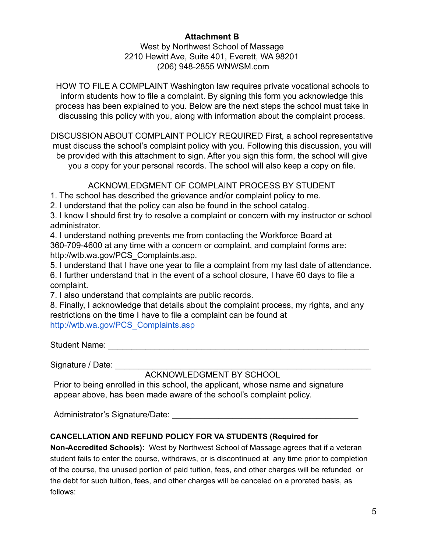### **Attachment B** West by Northwest School of Massage 2210 Hewitt Ave, Suite 401, Everett, WA 98201 (206) 948-2855 WNWSM.com

HOW TO FILE A COMPLAINT Washington law requires private vocational schools to inform students how to file a complaint. By signing this form you acknowledge this process has been explained to you. Below are the next steps the school must take in discussing this policy with you, along with information about the complaint process.

DISCUSSION ABOUT COMPLAINT POLICY REQUIRED First, a school representative must discuss the school's complaint policy with you. Following this discussion, you will be provided with this attachment to sign. After you sign this form, the school will give you a copy for your personal records. The school will also keep a copy on file.

### ACKNOWLEDGMENT OF COMPLAINT PROCESS BY STUDENT

1. The school has described the grievance and/or complaint policy to me.

2. I understand that the policy can also be found in the school catalog.

3. I know I should first try to resolve a complaint or concern with my instructor or school administrator.

4. I understand nothing prevents me from contacting the Workforce Board at 360-709-4600 at any time with a concern or complaint, and complaint forms are: http://wtb.wa.gov/PCS\_Complaints.asp.

5. I understand that I have one year to file a complaint from my last date of attendance. 6. I further understand that in the event of a school closure, I have 60 days to file a complaint.

7. I also understand that complaints are public records.

8. Finally, I acknowledge that details about the complaint process, my rights, and any restrictions on the time I have to file a complaint can be found at http://wtb.wa.gov/PCS\_Complaints.asp

Student Name: \_\_\_\_\_\_\_\_\_\_\_\_\_\_\_\_\_\_\_\_\_\_\_\_\_\_\_\_\_\_\_\_\_\_\_\_\_\_\_\_\_\_\_\_\_\_\_\_\_\_\_\_\_\_\_\_

Signature / Date:

# ACKNOWLEDGMENT BY SCHOOL

Prior to being enrolled in this school, the applicant, whose name and signature appear above, has been made aware of the school's complaint policy.

Administrator's Signature/Date: **Example 2018** 

### **CANCELLATION AND REFUND POLICY FOR VA STUDENTS (Required for**

**Non-Accredited Schools):** West by Northwest School of Massage agrees that if a veteran student fails to enter the course, withdraws, or is discontinued at any time prior to completion of the course, the unused portion of paid tuition, fees, and other charges will be refunded or the debt for such tuition, fees, and other charges will be canceled on a prorated basis, as follows: